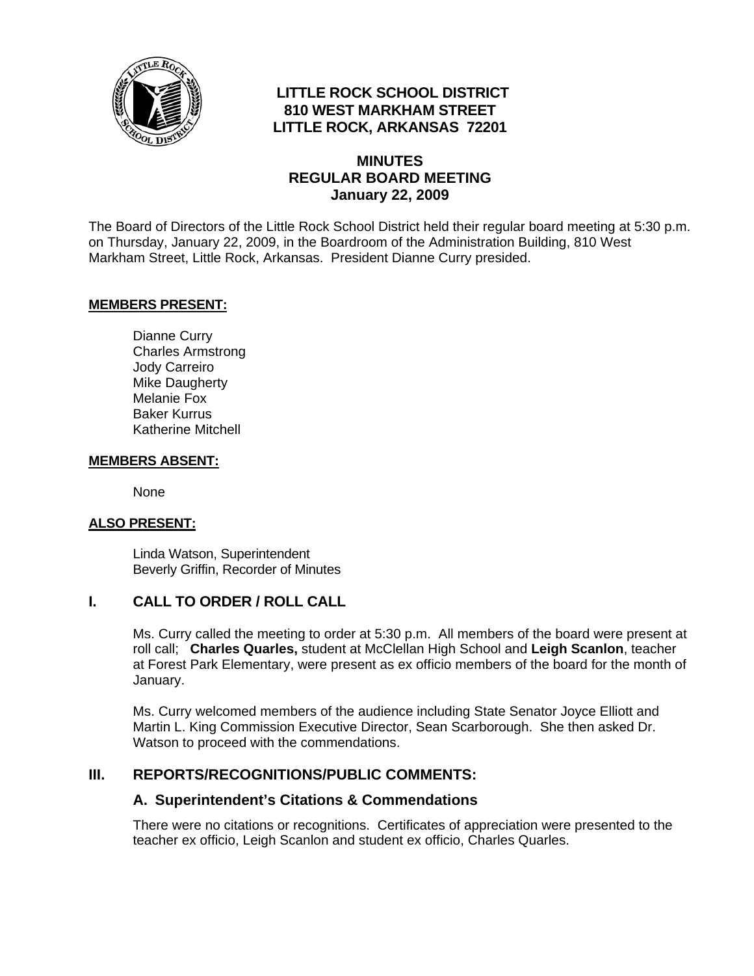

# **LITTLE ROCK SCHOOL DISTRICT 810 WEST MARKHAM STREET LITTLE ROCK, ARKANSAS 72201**

### **MINUTES REGULAR BOARD MEETING January 22, 2009**

The Board of Directors of the Little Rock School District held their regular board meeting at 5:30 p.m. on Thursday, January 22, 2009, in the Boardroom of the Administration Building, 810 West Markham Street, Little Rock, Arkansas. President Dianne Curry presided.

#### **MEMBERS PRESENT:**

Dianne Curry Charles Armstrong Jody Carreiro Mike Daugherty Melanie Fox Baker Kurrus Katherine Mitchell

#### **MEMBERS ABSENT:**

None

#### **ALSO PRESENT:**

 Linda Watson, Superintendent Beverly Griffin, Recorder of Minutes

## **I. CALL TO ORDER / ROLL CALL**

Ms. Curry called the meeting to order at 5:30 p.m. All members of the board were present at roll call; **Charles Quarles,** student at McClellan High School and **Leigh Scanlon**, teacher at Forest Park Elementary, were present as ex officio members of the board for the month of January.

Ms. Curry welcomed members of the audience including State Senator Joyce Elliott and Martin L. King Commission Executive Director, Sean Scarborough. She then asked Dr. Watson to proceed with the commendations.

#### **III. REPORTS/RECOGNITIONS/PUBLIC COMMENTS:**

#### **A. Superintendent's Citations & Commendations**

There were no citations or recognitions. Certificates of appreciation were presented to the teacher ex officio, Leigh Scanlon and student ex officio, Charles Quarles.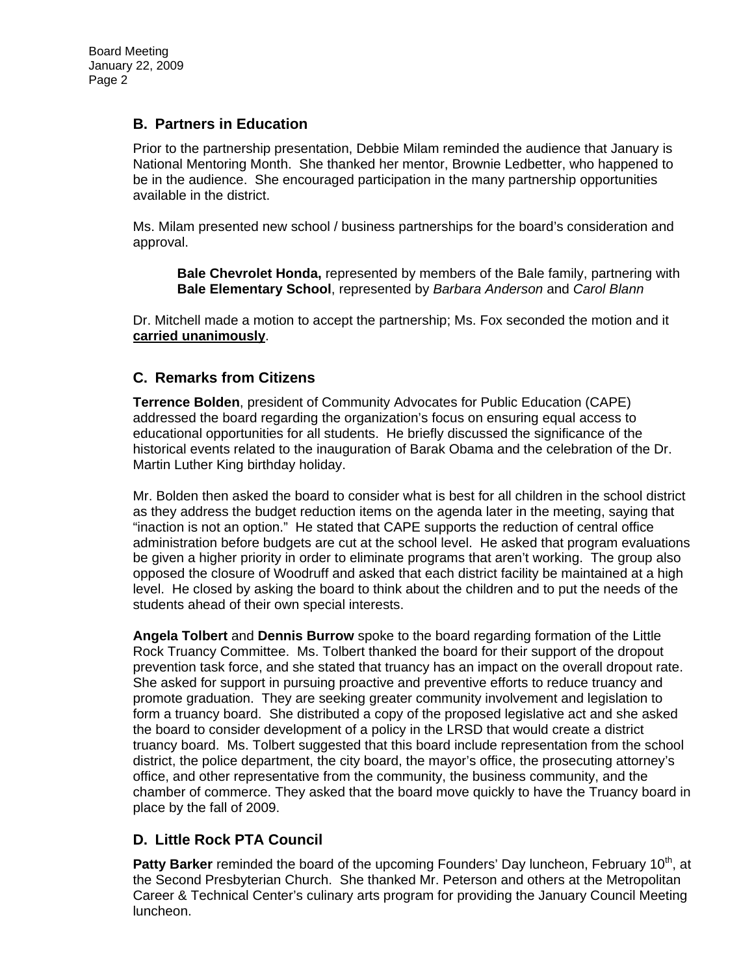### **B. Partners in Education**

Prior to the partnership presentation, Debbie Milam reminded the audience that January is National Mentoring Month. She thanked her mentor, Brownie Ledbetter, who happened to be in the audience. She encouraged participation in the many partnership opportunities available in the district.

Ms. Milam presented new school / business partnerships for the board's consideration and approval.

**Bale Chevrolet Honda,** represented by members of the Bale family, partnering with **Bale Elementary School**, represented by *Barbara Anderson* and *Carol Blann* 

Dr. Mitchell made a motion to accept the partnership; Ms. Fox seconded the motion and it **carried unanimously**.

### **C. Remarks from Citizens**

**Terrence Bolden**, president of Community Advocates for Public Education (CAPE) addressed the board regarding the organization's focus on ensuring equal access to educational opportunities for all students. He briefly discussed the significance of the historical events related to the inauguration of Barak Obama and the celebration of the Dr. Martin Luther King birthday holiday.

Mr. Bolden then asked the board to consider what is best for all children in the school district as they address the budget reduction items on the agenda later in the meeting, saying that "inaction is not an option." He stated that CAPE supports the reduction of central office administration before budgets are cut at the school level. He asked that program evaluations be given a higher priority in order to eliminate programs that aren't working. The group also opposed the closure of Woodruff and asked that each district facility be maintained at a high level. He closed by asking the board to think about the children and to put the needs of the students ahead of their own special interests.

**Angela Tolbert** and **Dennis Burrow** spoke to the board regarding formation of the Little Rock Truancy Committee. Ms. Tolbert thanked the board for their support of the dropout prevention task force, and she stated that truancy has an impact on the overall dropout rate. She asked for support in pursuing proactive and preventive efforts to reduce truancy and promote graduation. They are seeking greater community involvement and legislation to form a truancy board. She distributed a copy of the proposed legislative act and she asked the board to consider development of a policy in the LRSD that would create a district truancy board. Ms. Tolbert suggested that this board include representation from the school district, the police department, the city board, the mayor's office, the prosecuting attorney's office, and other representative from the community, the business community, and the chamber of commerce. They asked that the board move quickly to have the Truancy board in place by the fall of 2009.

### **D. Little Rock PTA Council**

**Patty Barker** reminded the board of the upcoming Founders' Day luncheon, February 10<sup>th</sup>, at the Second Presbyterian Church. She thanked Mr. Peterson and others at the Metropolitan Career & Technical Center's culinary arts program for providing the January Council Meeting luncheon.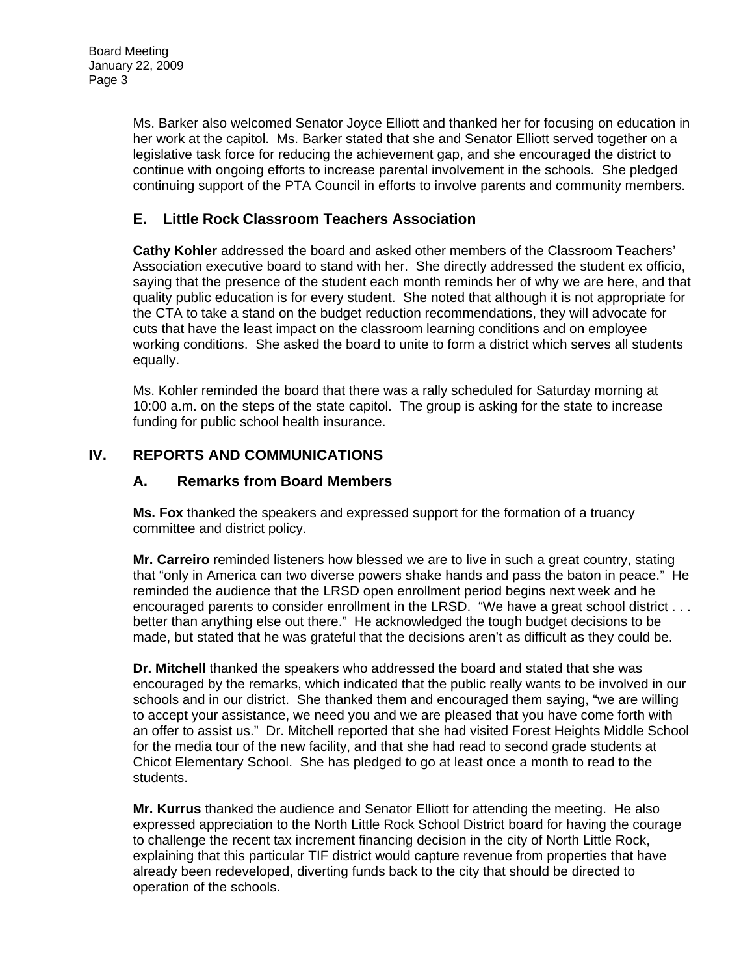Ms. Barker also welcomed Senator Joyce Elliott and thanked her for focusing on education in her work at the capitol. Ms. Barker stated that she and Senator Elliott served together on a legislative task force for reducing the achievement gap, and she encouraged the district to continue with ongoing efforts to increase parental involvement in the schools. She pledged continuing support of the PTA Council in efforts to involve parents and community members.

# **E. Little Rock Classroom Teachers Association**

**Cathy Kohler** addressed the board and asked other members of the Classroom Teachers' Association executive board to stand with her. She directly addressed the student ex officio, saying that the presence of the student each month reminds her of why we are here, and that quality public education is for every student. She noted that although it is not appropriate for the CTA to take a stand on the budget reduction recommendations, they will advocate for cuts that have the least impact on the classroom learning conditions and on employee working conditions. She asked the board to unite to form a district which serves all students equally.

Ms. Kohler reminded the board that there was a rally scheduled for Saturday morning at 10:00 a.m. on the steps of the state capitol. The group is asking for the state to increase funding for public school health insurance.

# **IV. REPORTS AND COMMUNICATIONS**

### **A. Remarks from Board Members**

**Ms. Fox** thanked the speakers and expressed support for the formation of a truancy committee and district policy.

**Mr. Carreiro** reminded listeners how blessed we are to live in such a great country, stating that "only in America can two diverse powers shake hands and pass the baton in peace." He reminded the audience that the LRSD open enrollment period begins next week and he encouraged parents to consider enrollment in the LRSD. "We have a great school district . . . better than anything else out there." He acknowledged the tough budget decisions to be made, but stated that he was grateful that the decisions aren't as difficult as they could be.

**Dr. Mitchell** thanked the speakers who addressed the board and stated that she was encouraged by the remarks, which indicated that the public really wants to be involved in our schools and in our district. She thanked them and encouraged them saying, "we are willing to accept your assistance, we need you and we are pleased that you have come forth with an offer to assist us." Dr. Mitchell reported that she had visited Forest Heights Middle School for the media tour of the new facility, and that she had read to second grade students at Chicot Elementary School. She has pledged to go at least once a month to read to the students.

**Mr. Kurrus** thanked the audience and Senator Elliott for attending the meeting. He also expressed appreciation to the North Little Rock School District board for having the courage to challenge the recent tax increment financing decision in the city of North Little Rock, explaining that this particular TIF district would capture revenue from properties that have already been redeveloped, diverting funds back to the city that should be directed to operation of the schools.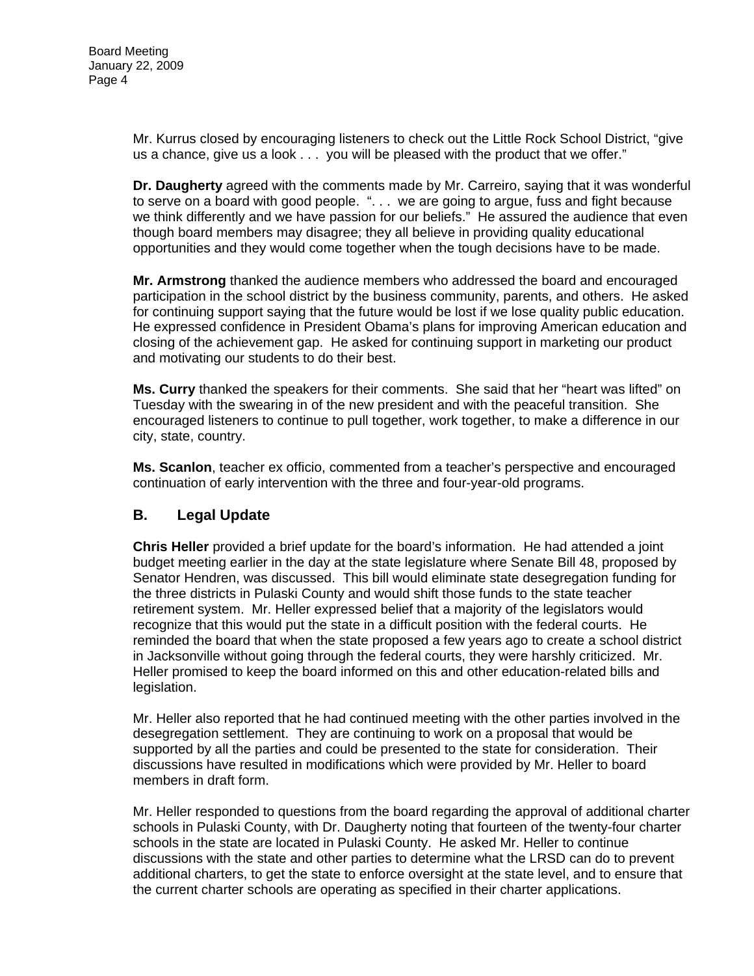Mr. Kurrus closed by encouraging listeners to check out the Little Rock School District, "give us a chance, give us a look . . . you will be pleased with the product that we offer."

**Dr. Daugherty** agreed with the comments made by Mr. Carreiro, saying that it was wonderful to serve on a board with good people. ". . . we are going to argue, fuss and fight because we think differently and we have passion for our beliefs." He assured the audience that even though board members may disagree; they all believe in providing quality educational opportunities and they would come together when the tough decisions have to be made.

**Mr. Armstrong** thanked the audience members who addressed the board and encouraged participation in the school district by the business community, parents, and others. He asked for continuing support saying that the future would be lost if we lose quality public education. He expressed confidence in President Obama's plans for improving American education and closing of the achievement gap. He asked for continuing support in marketing our product and motivating our students to do their best.

**Ms. Curry** thanked the speakers for their comments. She said that her "heart was lifted" on Tuesday with the swearing in of the new president and with the peaceful transition. She encouraged listeners to continue to pull together, work together, to make a difference in our city, state, country.

**Ms. Scanlon**, teacher ex officio, commented from a teacher's perspective and encouraged continuation of early intervention with the three and four-year-old programs.

# **B. Legal Update**

**Chris Heller** provided a brief update for the board's information. He had attended a joint budget meeting earlier in the day at the state legislature where Senate Bill 48, proposed by Senator Hendren, was discussed. This bill would eliminate state desegregation funding for the three districts in Pulaski County and would shift those funds to the state teacher retirement system. Mr. Heller expressed belief that a majority of the legislators would recognize that this would put the state in a difficult position with the federal courts. He reminded the board that when the state proposed a few years ago to create a school district in Jacksonville without going through the federal courts, they were harshly criticized. Mr. Heller promised to keep the board informed on this and other education-related bills and legislation.

Mr. Heller also reported that he had continued meeting with the other parties involved in the desegregation settlement. They are continuing to work on a proposal that would be supported by all the parties and could be presented to the state for consideration. Their discussions have resulted in modifications which were provided by Mr. Heller to board members in draft form.

Mr. Heller responded to questions from the board regarding the approval of additional charter schools in Pulaski County, with Dr. Daugherty noting that fourteen of the twenty-four charter schools in the state are located in Pulaski County. He asked Mr. Heller to continue discussions with the state and other parties to determine what the LRSD can do to prevent additional charters, to get the state to enforce oversight at the state level, and to ensure that the current charter schools are operating as specified in their charter applications.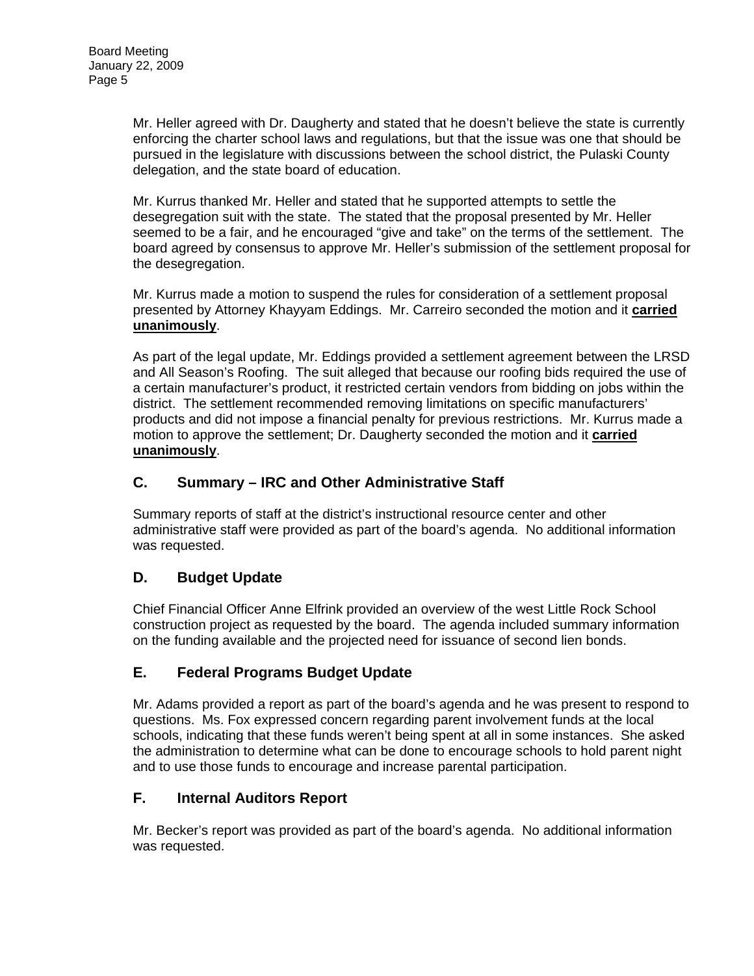Mr. Heller agreed with Dr. Daugherty and stated that he doesn't believe the state is currently enforcing the charter school laws and regulations, but that the issue was one that should be pursued in the legislature with discussions between the school district, the Pulaski County delegation, and the state board of education.

Mr. Kurrus thanked Mr. Heller and stated that he supported attempts to settle the desegregation suit with the state. The stated that the proposal presented by Mr. Heller seemed to be a fair, and he encouraged "give and take" on the terms of the settlement. The board agreed by consensus to approve Mr. Heller's submission of the settlement proposal for the desegregation.

Mr. Kurrus made a motion to suspend the rules for consideration of a settlement proposal presented by Attorney Khayyam Eddings. Mr. Carreiro seconded the motion and it **carried unanimously**.

As part of the legal update, Mr. Eddings provided a settlement agreement between the LRSD and All Season's Roofing. The suit alleged that because our roofing bids required the use of a certain manufacturer's product, it restricted certain vendors from bidding on jobs within the district. The settlement recommended removing limitations on specific manufacturers' products and did not impose a financial penalty for previous restrictions. Mr. Kurrus made a motion to approve the settlement; Dr. Daugherty seconded the motion and it **carried unanimously**.

## **C. Summary – IRC and Other Administrative Staff**

Summary reports of staff at the district's instructional resource center and other administrative staff were provided as part of the board's agenda. No additional information was requested.

# **D. Budget Update**

Chief Financial Officer Anne Elfrink provided an overview of the west Little Rock School construction project as requested by the board. The agenda included summary information on the funding available and the projected need for issuance of second lien bonds.

# **E. Federal Programs Budget Update**

Mr. Adams provided a report as part of the board's agenda and he was present to respond to questions. Ms. Fox expressed concern regarding parent involvement funds at the local schools, indicating that these funds weren't being spent at all in some instances. She asked the administration to determine what can be done to encourage schools to hold parent night and to use those funds to encourage and increase parental participation.

# **F. Internal Auditors Report**

Mr. Becker's report was provided as part of the board's agenda. No additional information was requested.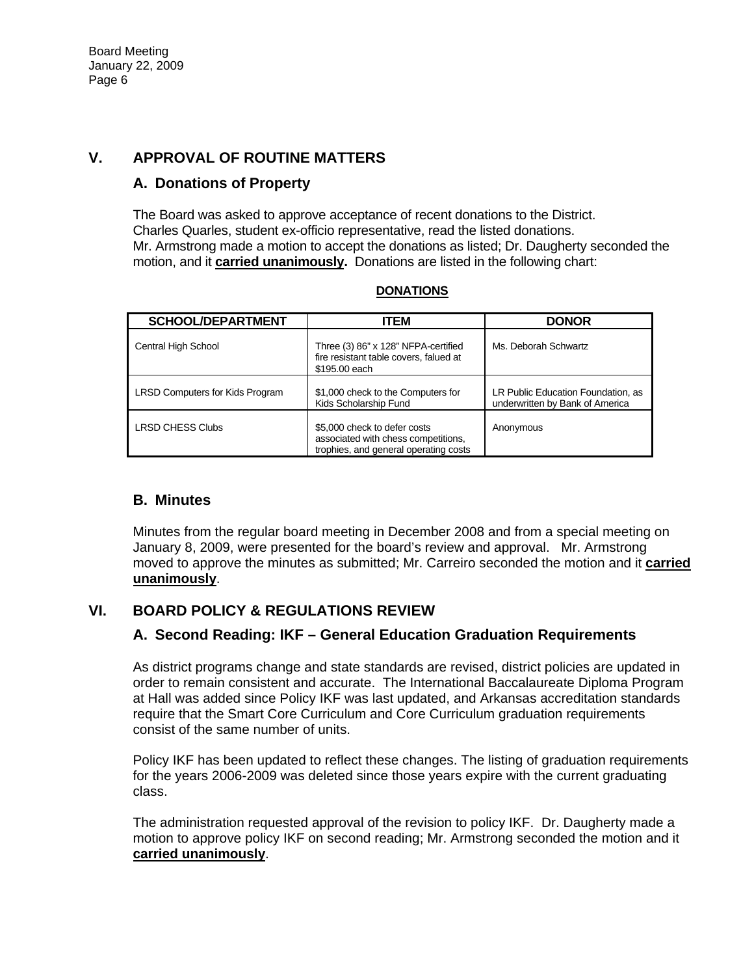# **V. APPROVAL OF ROUTINE MATTERS**

### **A. Donations of Property**

The Board was asked to approve acceptance of recent donations to the District. Charles Quarles, student ex-officio representative, read the listed donations. Mr. Armstrong made a motion to accept the donations as listed; Dr. Daugherty seconded the motion, and it **carried unanimously.** Donations are listed in the following chart:

| <b>SCHOOL/DEPARTMENT</b>               | <b>ITEM</b>                                                                                                  | <b>DONOR</b>                                                          |
|----------------------------------------|--------------------------------------------------------------------------------------------------------------|-----------------------------------------------------------------------|
| Central High School                    | Three (3) 86" x 128" NFPA-certified<br>fire resistant table covers, falued at<br>\$195,00 each               | Ms. Deborah Schwartz                                                  |
| <b>LRSD Computers for Kids Program</b> | \$1,000 check to the Computers for<br>Kids Scholarship Fund                                                  | LR Public Education Foundation, as<br>underwritten by Bank of America |
| <b>LRSD CHESS Clubs</b>                | \$5,000 check to defer costs<br>associated with chess competitions,<br>trophies, and general operating costs | Anonymous                                                             |

#### **DONATIONS**

### **B. Minutes**

Minutes from the regular board meeting in December 2008 and from a special meeting on January 8, 2009, were presented for the board's review and approval. Mr. Armstrong moved to approve the minutes as submitted; Mr. Carreiro seconded the motion and it **carried unanimously**.

# **VI. BOARD POLICY & REGULATIONS REVIEW**

### **A. Second Reading: IKF – General Education Graduation Requirements**

As district programs change and state standards are revised, district policies are updated in order to remain consistent and accurate. The International Baccalaureate Diploma Program at Hall was added since Policy IKF was last updated, and Arkansas accreditation standards require that the Smart Core Curriculum and Core Curriculum graduation requirements consist of the same number of units.

Policy IKF has been updated to reflect these changes. The listing of graduation requirements for the years 2006-2009 was deleted since those years expire with the current graduating class.

The administration requested approval of the revision to policy IKF. Dr. Daugherty made a motion to approve policy IKF on second reading; Mr. Armstrong seconded the motion and it **carried unanimously**.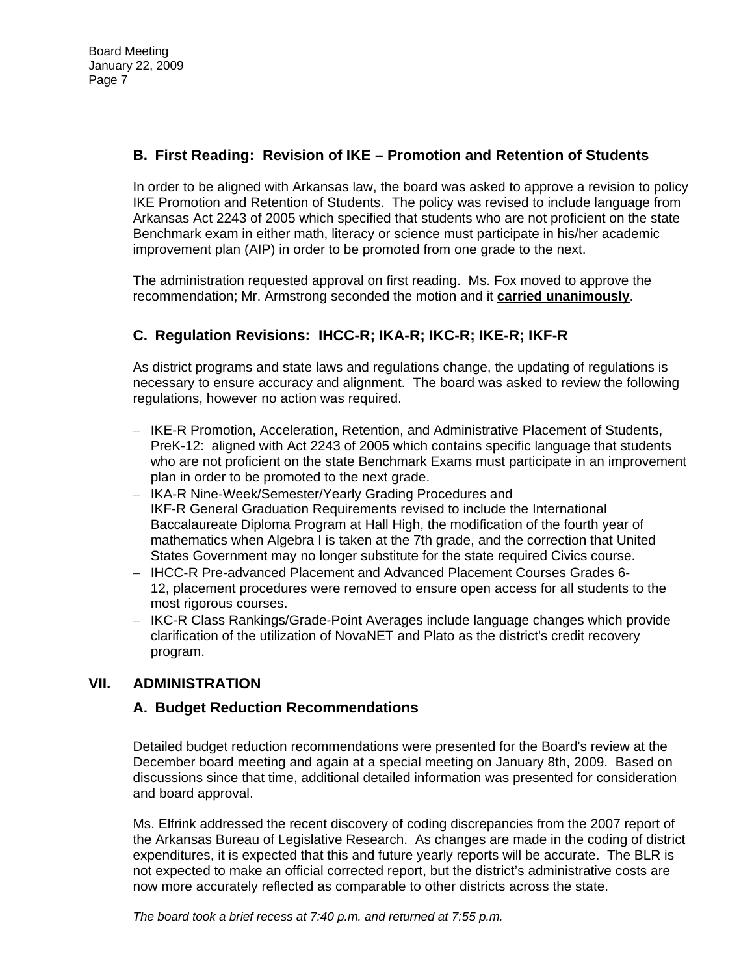# **B. First Reading: Revision of IKE – Promotion and Retention of Students**

In order to be aligned with Arkansas law, the board was asked to approve a revision to policy IKE Promotion and Retention of Students. The policy was revised to include language from Arkansas Act 2243 of 2005 which specified that students who are not proficient on the state Benchmark exam in either math, literacy or science must participate in his/her academic improvement plan (AIP) in order to be promoted from one grade to the next.

The administration requested approval on first reading. Ms. Fox moved to approve the recommendation; Mr. Armstrong seconded the motion and it **carried unanimously**.

# **C. Regulation Revisions: IHCC-R; IKA-R; IKC-R; IKE-R; IKF-R**

As district programs and state laws and regulations change, the updating of regulations is necessary to ensure accuracy and alignment. The board was asked to review the following regulations, however no action was required.

- − IKE-R Promotion, Acceleration, Retention, and Administrative Placement of Students, PreK-12: aligned with Act 2243 of 2005 which contains specific language that students who are not proficient on the state Benchmark Exams must participate in an improvement plan in order to be promoted to the next grade.
- − IKA-R Nine-Week/Semester/Yearly Grading Procedures and IKF-R General Graduation Requirements revised to include the International Baccalaureate Diploma Program at Hall High, the modification of the fourth year of mathematics when Algebra I is taken at the 7th grade, and the correction that United States Government may no longer substitute for the state required Civics course.
- − IHCC-R Pre-advanced Placement and Advanced Placement Courses Grades 6- 12, placement procedures were removed to ensure open access for all students to the most rigorous courses.
- − IKC-R Class Rankings/Grade-Point Averages include language changes which provide clarification of the utilization of NovaNET and Plato as the district's credit recovery program.

# **VII. ADMINISTRATION**

### **A. Budget Reduction Recommendations**

Detailed budget reduction recommendations were presented for the Board's review at the December board meeting and again at a special meeting on January 8th, 2009. Based on discussions since that time, additional detailed information was presented for consideration and board approval.

Ms. Elfrink addressed the recent discovery of coding discrepancies from the 2007 report of the Arkansas Bureau of Legislative Research. As changes are made in the coding of district expenditures, it is expected that this and future yearly reports will be accurate. The BLR is not expected to make an official corrected report, but the district's administrative costs are now more accurately reflected as comparable to other districts across the state.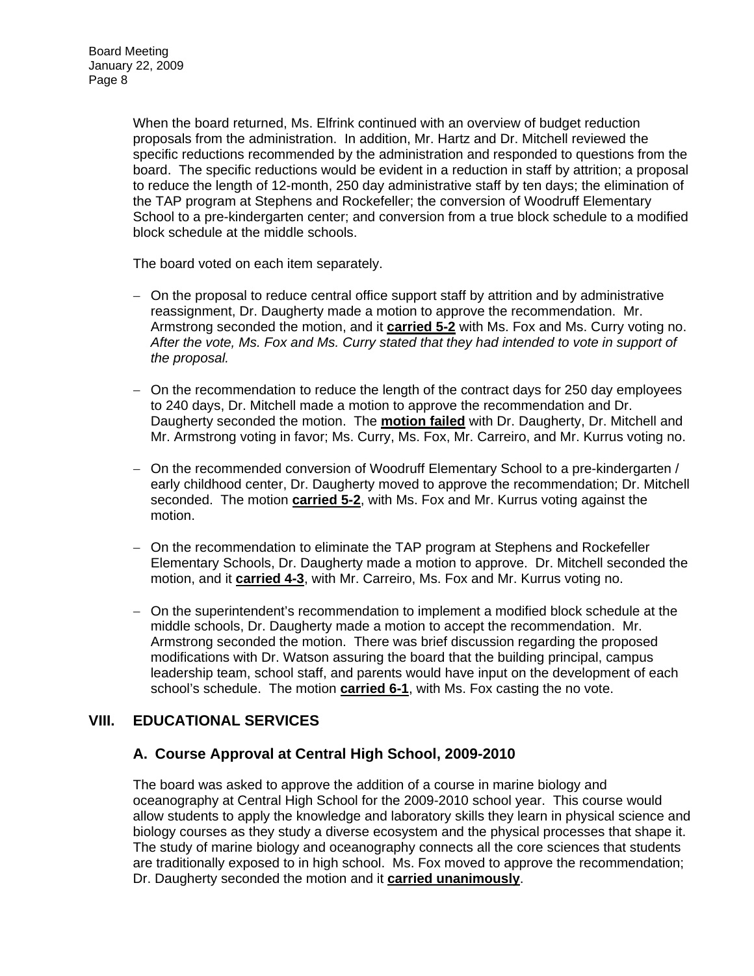When the board returned, Ms. Elfrink continued with an overview of budget reduction proposals from the administration. In addition, Mr. Hartz and Dr. Mitchell reviewed the specific reductions recommended by the administration and responded to questions from the board. The specific reductions would be evident in a reduction in staff by attrition; a proposal to reduce the length of 12-month, 250 day administrative staff by ten days; the elimination of the TAP program at Stephens and Rockefeller; the conversion of Woodruff Elementary School to a pre-kindergarten center; and conversion from a true block schedule to a modified block schedule at the middle schools.

The board voted on each item separately.

- − On the proposal to reduce central office support staff by attrition and by administrative reassignment, Dr. Daugherty made a motion to approve the recommendation. Mr. Armstrong seconded the motion, and it **carried 5-2** with Ms. Fox and Ms. Curry voting no. *After the vote, Ms. Fox and Ms. Curry stated that they had intended to vote in support of the proposal.*
- − On the recommendation to reduce the length of the contract days for 250 day employees to 240 days, Dr. Mitchell made a motion to approve the recommendation and Dr. Daugherty seconded the motion. The **motion failed** with Dr. Daugherty, Dr. Mitchell and Mr. Armstrong voting in favor; Ms. Curry, Ms. Fox, Mr. Carreiro, and Mr. Kurrus voting no.
- − On the recommended conversion of Woodruff Elementary School to a pre-kindergarten / early childhood center, Dr. Daugherty moved to approve the recommendation; Dr. Mitchell seconded. The motion **carried 5-2**, with Ms. Fox and Mr. Kurrus voting against the motion.
- − On the recommendation to eliminate the TAP program at Stephens and Rockefeller Elementary Schools, Dr. Daugherty made a motion to approve. Dr. Mitchell seconded the motion, and it **carried 4-3**, with Mr. Carreiro, Ms. Fox and Mr. Kurrus voting no.
- − On the superintendent's recommendation to implement a modified block schedule at the middle schools, Dr. Daugherty made a motion to accept the recommendation. Mr. Armstrong seconded the motion. There was brief discussion regarding the proposed modifications with Dr. Watson assuring the board that the building principal, campus leadership team, school staff, and parents would have input on the development of each school's schedule. The motion **carried 6-1**, with Ms. Fox casting the no vote.

# **VIII. EDUCATIONAL SERVICES**

### **A. Course Approval at Central High School, 2009-2010**

The board was asked to approve the addition of a course in marine biology and oceanography at Central High School for the 2009-2010 school year. This course would allow students to apply the knowledge and laboratory skills they learn in physical science and biology courses as they study a diverse ecosystem and the physical processes that shape it. The study of marine biology and oceanography connects all the core sciences that students are traditionally exposed to in high school. Ms. Fox moved to approve the recommendation; Dr. Daugherty seconded the motion and it **carried unanimously**.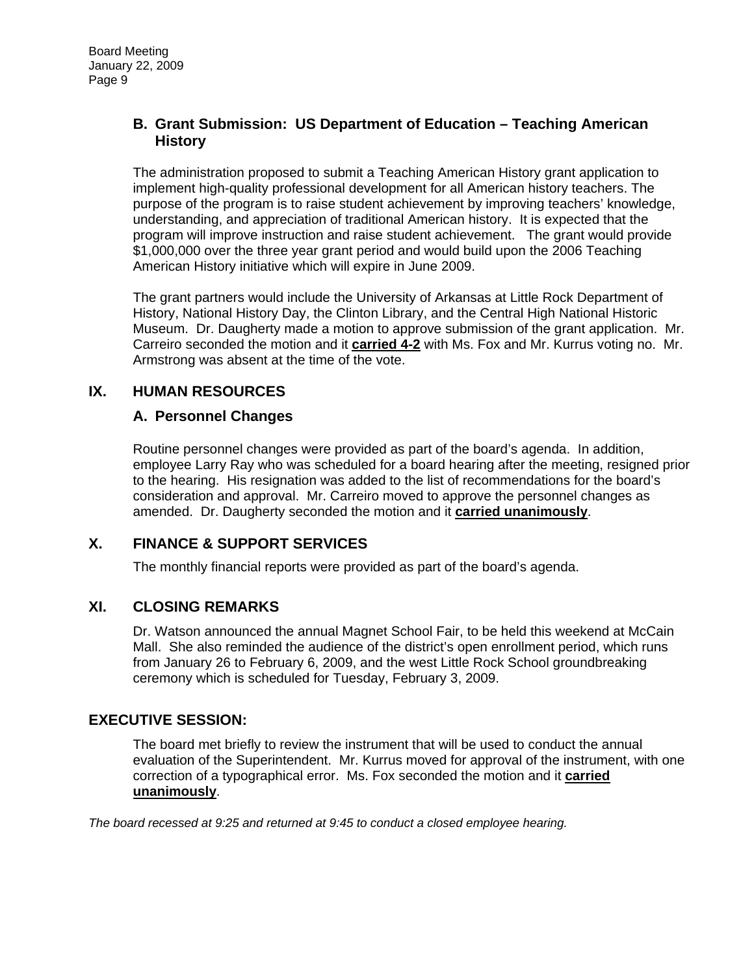### **B. Grant Submission: US Department of Education – Teaching American History**

The administration proposed to submit a Teaching American History grant application to implement high-quality professional development for all American history teachers. The purpose of the program is to raise student achievement by improving teachers' knowledge, understanding, and appreciation of traditional American history. It is expected that the program will improve instruction and raise student achievement. The grant would provide \$1,000,000 over the three year grant period and would build upon the 2006 Teaching American History initiative which will expire in June 2009.

The grant partners would include the University of Arkansas at Little Rock Department of History, National History Day, the Clinton Library, and the Central High National Historic Museum. Dr. Daugherty made a motion to approve submission of the grant application. Mr. Carreiro seconded the motion and it **carried 4-2** with Ms. Fox and Mr. Kurrus voting no. Mr. Armstrong was absent at the time of the vote.

## **IX. HUMAN RESOURCES**

### **A. Personnel Changes**

Routine personnel changes were provided as part of the board's agenda. In addition, employee Larry Ray who was scheduled for a board hearing after the meeting, resigned prior to the hearing. His resignation was added to the list of recommendations for the board's consideration and approval. Mr. Carreiro moved to approve the personnel changes as amended. Dr. Daugherty seconded the motion and it **carried unanimously**.

# **X. FINANCE & SUPPORT SERVICES**

The monthly financial reports were provided as part of the board's agenda.

### **XI. CLOSING REMARKS**

Dr. Watson announced the annual Magnet School Fair, to be held this weekend at McCain Mall. She also reminded the audience of the district's open enrollment period, which runs from January 26 to February 6, 2009, and the west Little Rock School groundbreaking ceremony which is scheduled for Tuesday, February 3, 2009.

### **EXECUTIVE SESSION:**

The board met briefly to review the instrument that will be used to conduct the annual evaluation of the Superintendent. Mr. Kurrus moved for approval of the instrument, with one correction of a typographical error. Ms. Fox seconded the motion and it **carried unanimously**.

*The board recessed at 9:25 and returned at 9:45 to conduct a closed employee hearing.*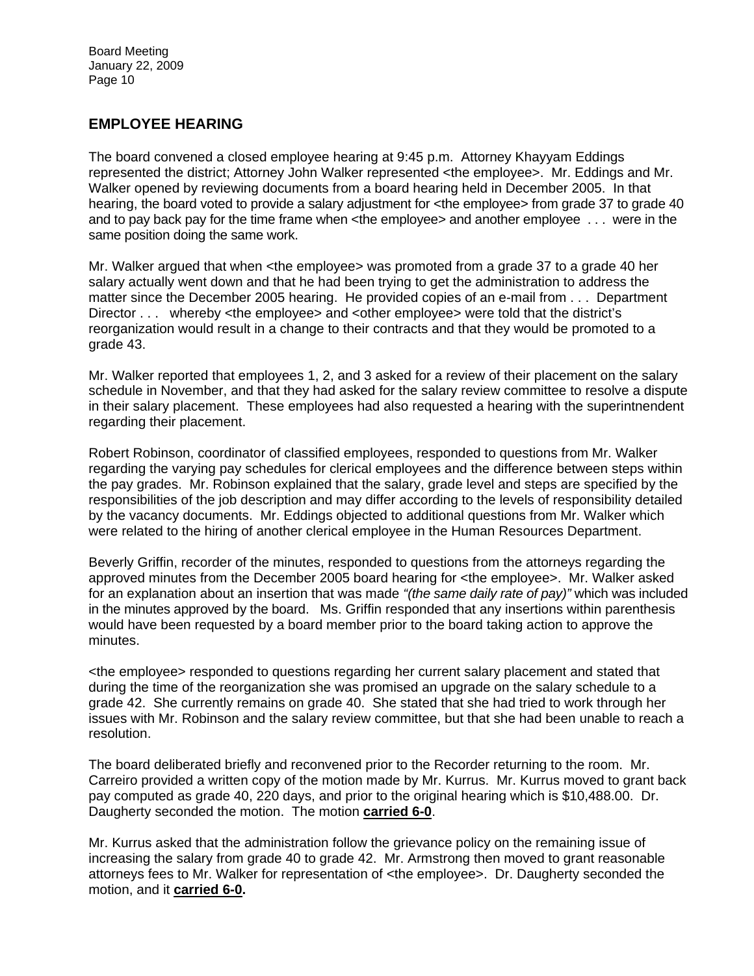Board Meeting January 22, 2009 Page 10

### **EMPLOYEE HEARING**

The board convened a closed employee hearing at 9:45 p.m. Attorney Khayyam Eddings represented the district; Attorney John Walker represented <the employee>. Mr. Eddings and Mr. Walker opened by reviewing documents from a board hearing held in December 2005. In that hearing, the board voted to provide a salary adjustment for <the employee> from grade 37 to grade 40 and to pay back pay for the time frame when <the employee> and another employee . . . were in the same position doing the same work.

Mr. Walker argued that when <the employee> was promoted from a grade 37 to a grade 40 her salary actually went down and that he had been trying to get the administration to address the matter since the December 2005 hearing. He provided copies of an e-mail from . . . Department Director . . . whereby <the employee> and <other employee> were told that the district's reorganization would result in a change to their contracts and that they would be promoted to a grade 43.

Mr. Walker reported that employees 1, 2, and 3 asked for a review of their placement on the salary schedule in November, and that they had asked for the salary review committee to resolve a dispute in their salary placement. These employees had also requested a hearing with the superintnendent regarding their placement.

Robert Robinson, coordinator of classified employees, responded to questions from Mr. Walker regarding the varying pay schedules for clerical employees and the difference between steps within the pay grades. Mr. Robinson explained that the salary, grade level and steps are specified by the responsibilities of the job description and may differ according to the levels of responsibility detailed by the vacancy documents. Mr. Eddings objected to additional questions from Mr. Walker which were related to the hiring of another clerical employee in the Human Resources Department.

Beverly Griffin, recorder of the minutes, responded to questions from the attorneys regarding the approved minutes from the December 2005 board hearing for <the employee>. Mr. Walker asked for an explanation about an insertion that was made *"(the same daily rate of pay)"* which was included in the minutes approved by the board. Ms. Griffin responded that any insertions within parenthesis would have been requested by a board member prior to the board taking action to approve the minutes.

<the employee> responded to questions regarding her current salary placement and stated that during the time of the reorganization she was promised an upgrade on the salary schedule to a grade 42. She currently remains on grade 40. She stated that she had tried to work through her issues with Mr. Robinson and the salary review committee, but that she had been unable to reach a resolution.

The board deliberated briefly and reconvened prior to the Recorder returning to the room. Mr. Carreiro provided a written copy of the motion made by Mr. Kurrus. Mr. Kurrus moved to grant back pay computed as grade 40, 220 days, and prior to the original hearing which is \$10,488.00. Dr. Daugherty seconded the motion. The motion **carried 6-0**.

Mr. Kurrus asked that the administration follow the grievance policy on the remaining issue of increasing the salary from grade 40 to grade 42. Mr. Armstrong then moved to grant reasonable attorneys fees to Mr. Walker for representation of <the employee>. Dr. Daugherty seconded the motion, and it **carried 6-0.**